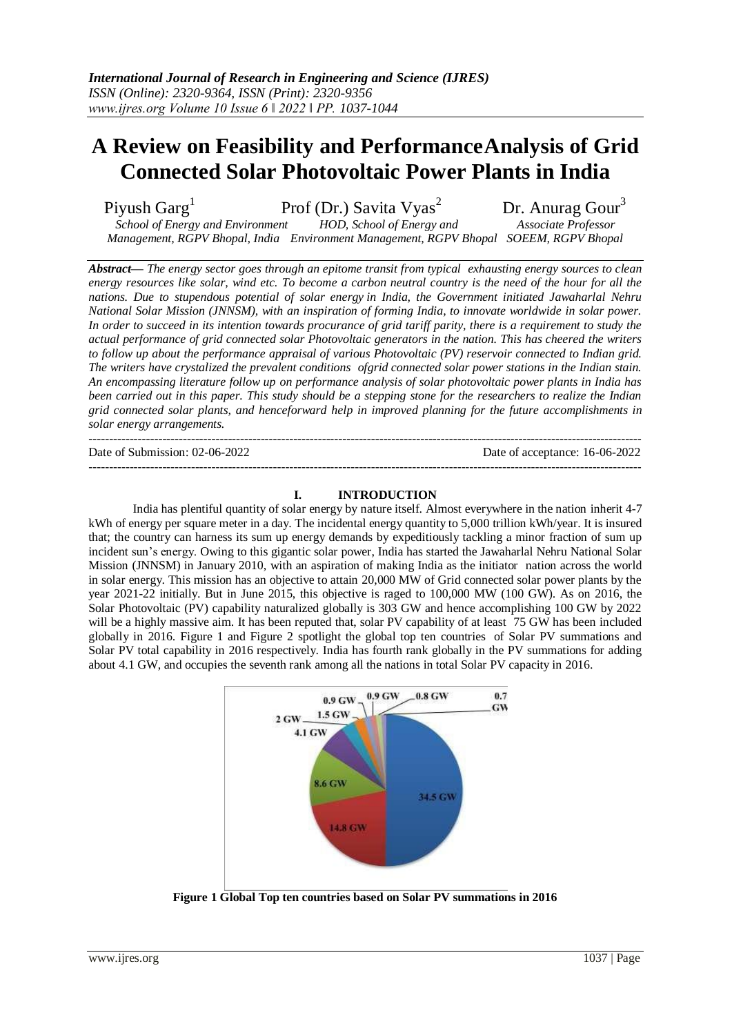# **A Review on Feasibility and PerformanceAnalysis of Grid Connected Solar Photovoltaic Power Plants in India**

Piyush Garg<sup>1</sup>

Prof (Dr.) Savita Vyas<sup>2</sup> Dr. Anurag Gour<sup>3</sup>

*School of Energy and Environment HOD, School of Energy and Associate Professor Management, RGPV Bhopal, India Environment Management, RGPV Bhopal SOEEM, RGPV Bhopal*

*Abstract— The energy sector goes through an epitome transit from typical exhausting energy sources to clean energy resources like solar, wind etc. To become a carbon neutral country is the need of the hour for all the nations. Due to stupendous potential of solar energy in India, the Government initiated Jawaharlal Nehru National Solar Mission (JNNSM), with an inspiration of forming India, to innovate worldwide in solar power. In order to succeed in its intention towards procurance of grid tariff parity, there is a requirement to study the actual performance of grid connected solar Photovoltaic generators in the nation. This has cheered the writers to follow up about the performance appraisal of various Photovoltaic (PV) reservoir connected to Indian grid. The writers have crystalized the prevalent conditions ofgrid connected solar power stations in the Indian stain. An encompassing literature follow up on performance analysis of solar photovoltaic power plants in India has been carried out in this paper. This study should be a stepping stone for the researchers to realize the Indian grid connected solar plants, and henceforward help in improved planning for the future accomplishments in solar energy arrangements.* ---------------------------------------------------------------------------------------------------------------------------------------

Date of Submission: 02-06-2022 Date of acceptance: 16-06-2022

### **I. INTRODUCTION**

---------------------------------------------------------------------------------------------------------------------------------------

India has plentiful quantity of solar energy by nature itself. Almost everywhere in the nation inherit 4-7 kWh of energy per square meter in a day. The incidental energy quantity to 5,000 trillion kWh/year. It is insured that; the country can harness its sum up energy demands by expeditiously tackling a minor fraction of sum up incident sun's energy. Owing to this gigantic solar power, India has started the Jawaharlal Nehru National Solar Mission (JNNSM) in January 2010, with an aspiration of making India as the initiator nation across the world in solar energy. This mission has an objective to attain 20,000 MW of Grid connected solar power plants by the year 2021-22 initially. But in June 2015, this objective is raged to 100,000 MW (100 GW). As on 2016, the Solar Photovoltaic (PV) capability naturalized globally is 303 GW and hence accomplishing 100 GW by 2022 will be a highly massive aim. It has been reputed that, solar PV capability of at least 75 GW has been included globally in 2016. Figure 1 and Figure 2 spotlight the global top ten countries of Solar PV summations and Solar PV total capability in 2016 respectively. India has fourth rank globally in the PV summations for adding about 4.1 GW, and occupies the seventh rank among all the nations in total Solar PV capacity in 2016.



**Figure 1 Global Top ten countries based on Solar PV summations in 2016**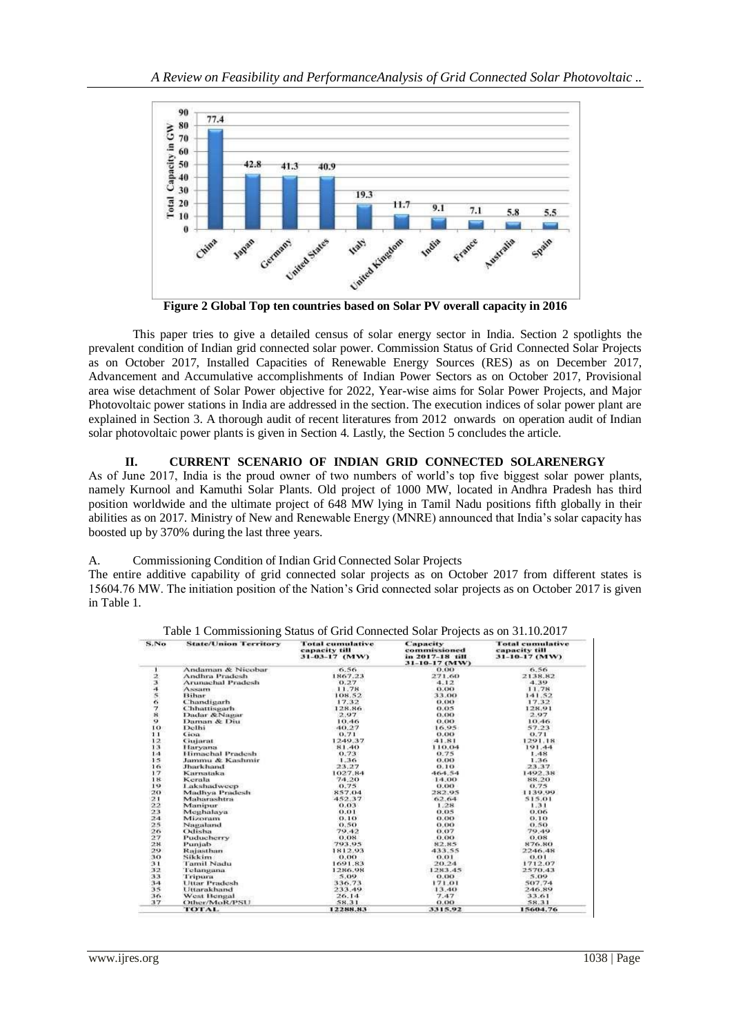

**Figure 2 Global Top ten countries based on Solar PV overall capacity in 2016**

This paper tries to give a detailed census of solar energy sector in India. Section 2 spotlights the prevalent condition of Indian grid connected solar power. Commission Status of Grid Connected Solar Projects as on October 2017, Installed Capacities of Renewable Energy Sources (RES) as on December 2017, Advancement and Accumulative accomplishments of Indian Power Sectors as on October 2017, Provisional area wise detachment of Solar Power objective for 2022, Year-wise aims for Solar Power Projects, and Major Photovoltaic power stations in India are addressed in the section. The execution indices of solar power plant are explained in Section 3. A thorough audit of recent literatures from 2012 onwards on operation audit of Indian solar photovoltaic power plants is given in Section 4. Lastly, the Section 5 concludes the article.

### **II. CURRENT SCENARIO OF INDIAN GRID CONNECTED SOLARENERGY**

As of June 2017, India is the proud owner of two numbers of world's top five biggest solar power plants, namely Kurnool and Kamuthi Solar Plants. Old project of 1000 MW, located in Andhra Pradesh has third position worldwide and the ultimate project of 648 MW lying in Tamil Nadu positions fifth globally in their abilities as on 2017. Ministry of New and Renewable Energy (MNRE) announced that India's solar capacity has boosted up by 370% during the last three years.

#### A. Commissioning Condition of Indian Grid Connected Solar Projects

The entire additive capability of grid connected solar projects as on October 2017 from different states is 15604.76 MW. The initiation position of the Nation's Grid connected solar projects as on October 2017 is given in Table 1.

| S.No     | <b>State/Union Territory</b> | Total cumulative<br>capacity till<br>31-03-17 (MW) | Capacity<br>commissioned<br>in 2017-18 till<br>31-10-17 (MW) | Total cumulative<br>capacity till<br>31-10-17 (MW) |
|----------|------------------------------|----------------------------------------------------|--------------------------------------------------------------|----------------------------------------------------|
|          | Andaman & Nicobar            | 6.56                                               | 0.00                                                         | 6.56                                               |
|          | Andhra Pradesh               | 1867.23                                            | 271.60                                                       | 2138.82                                            |
| 12345678 | <b>Arunachal Pradesh</b>     | 0.27                                               | 4.12                                                         | 4.39                                               |
|          | ASSIITE                      | 11.78                                              | 0.00                                                         | 11.78                                              |
|          | Bihar                        | 108.52                                             | 33.00                                                        | 141.52                                             |
|          | Chandigarh                   | 17.32                                              | 0.00                                                         | 17.32                                              |
|          | Chhattisgarh                 | 128.86                                             | 0.05                                                         | 128.91                                             |
|          | Dadar &Nagar                 | 2.97                                               | 0.00                                                         | 2.97                                               |
| $\circ$  | Daman & Diu                  | 10.46                                              | 0.00                                                         | 10.46                                              |
| 10       | Delhi                        | 40.27                                              | 16.95                                                        | 57.23                                              |
| 11       | Goa                          | 0.71                                               | 0.00                                                         | 0.71                                               |
| 12       | Ciujarat                     | 1249.37                                            | 41.81                                                        | 1291.18                                            |
| 13       | Haryana                      | 81.40                                              | 110.04                                                       | 191.44                                             |
| 1.4      | Himachal Pradesh             | 0.73                                               | 0.75                                                         | 1.48                                               |
| 15       | Jammu & Kashmir              | 1.36                                               | 0.00                                                         | 1.36                                               |
| 16       | <b>Jharkhand</b>             | 23.27                                              | 0.10                                                         | 23.37                                              |
| 17       | Karnataka                    | 1027.84                                            | 464.54                                                       | 1492.38                                            |
| 18       | Kerala                       | 74.20                                              | 14.00                                                        | 88.20                                              |
| 19       | Lakshadweep                  | 0.75                                               | 0.00                                                         | 0.75                                               |
| 20       | Madhya Pradesh               | 857.04                                             | 282.95                                                       | 1139.99                                            |
| 21       | Maharashtra                  | 452.37                                             | 62,64                                                        | 515.01                                             |
| 22       | Manipur                      | 0.03                                               | 1.28                                                         | 1.31                                               |
| 23       | Meghalaya                    | 0.01                                               | 0.05                                                         | 0.06                                               |
| 24       | Mizoram                      | 0.10                                               | 0.00                                                         | 0.10                                               |
| 25       | Nagaland                     | 0.50                                               | 0.00.                                                        | 0.50                                               |
| 26       | Odisha                       | 79.42                                              | 0.07                                                         | 79.49                                              |
| 27       | Puducherry                   | 0.08                                               | 0.00                                                         | 0.08                                               |
| 28       | Punjab                       | 793.95                                             | 82.85                                                        | 876.80                                             |
| 29       | Rajasthan                    | 1812.93                                            | 433.55                                                       | 2246.48                                            |
| 30       | Sikkim                       | 0.00                                               | 0.01                                                         | 0.01                                               |
| 31       | Tamil Nadu                   | 1691.83                                            | 20.24                                                        | 1712.07                                            |
| 32       | Telangana                    | 1286.98                                            | 1283.45                                                      | 2570.43                                            |
| 33       | Tripura                      | 5.09                                               | 0.00                                                         | 5.09                                               |
| 34       | <b>Uttar Pradesh</b>         | 336.73                                             | 171.01                                                       | 507.74                                             |
| 35       | Uttarakhand                  | 233.49                                             | 13.40                                                        | 246.89                                             |
| 36.      | West Bengal                  | 26.14                                              | 7.47                                                         | 33.61                                              |
| 37       | Other/MoR/PSU                | 58.31                                              | 0.00                                                         | 58.31                                              |
|          | <b>TOTAL</b>                 | 12288.83                                           | 3315.92                                                      | 15604.76                                           |

Table 1 Commissioning Status of Grid Connected Solar Projects as on 31.10.2017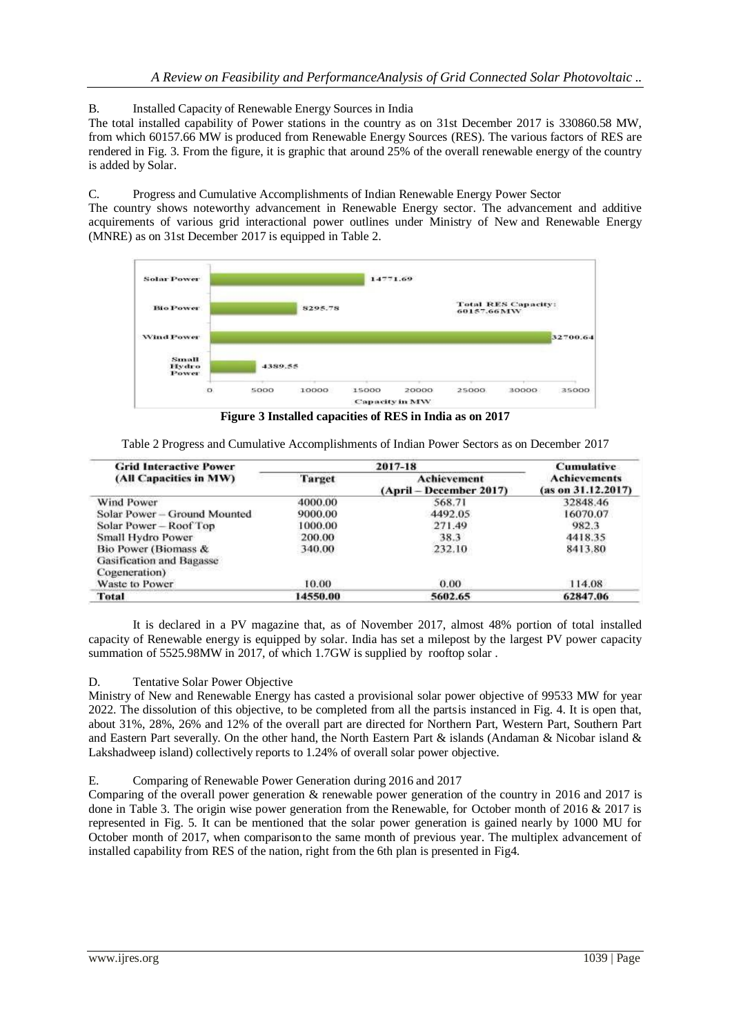B. Installed Capacity of Renewable Energy Sources in India

The total installed capability of Power stations in the country as on 31st December 2017 is 330860.58 MW, from which 60157.66 MW is produced from Renewable Energy Sources (RES). The various factors of RES are rendered in Fig. 3. From the figure, it is graphic that around 25% of the overall renewable energy of the country is added by Solar.

C. Progress and Cumulative Accomplishments of Indian Renewable Energy Power Sector

The country shows noteworthy advancement in Renewable Energy sector. The advancement and additive acquirements of various grid interactional power outlines under Ministry of New and Renewable Energy (MNRE) as on 31st December 2017 is equipped in Table 2.



**Figure 3 Installed capacities of RES in India as on 2017**

| Table 2 Progress and Cumulative Accomplishments of Indian Power Sectors as on December 2017 |  |  |
|---------------------------------------------------------------------------------------------|--|--|
|                                                                                             |  |  |

| <b>Grid Interactive Power</b>   |          | <b>Cumulative</b>                               |                                           |  |
|---------------------------------|----------|-------------------------------------------------|-------------------------------------------|--|
| (All Capacities in MW)          | Target   | <b>Achievement</b><br>$(April - December 2017)$ | <b>Achievements</b><br>(as on 31.12.2017) |  |
| Wind Power                      | 4000.00  | 568.71                                          | 32848.46                                  |  |
| Solar Power - Ground Mounted    | 9000.00  | 4492.05                                         | 16070.07                                  |  |
| Solar Power - Roof Top          | 1000.00  | 271.49                                          | 982.3                                     |  |
| Small Hydro Power               | 200.00   | 38.3                                            | 4418.35                                   |  |
| Bio Power (Biomass &            | 340.00   | 232.10                                          | 8413.80                                   |  |
| <b>Gasification and Bagasse</b> |          |                                                 |                                           |  |
| Cogeneration)                   |          |                                                 |                                           |  |
| Waste to Power                  | 10.00    | 0.00                                            | 114.08                                    |  |
| Total                           | 14550.00 | 5602.65                                         | 62847.06                                  |  |

It is declared in a PV magazine that, as of November 2017, almost 48% portion of total installed capacity of Renewable energy is equipped by solar. India has set a milepost by the largest PV power capacity summation of 5525.98MW in 2017, of which 1.7GW is supplied by rooftop solar.

## D. Tentative Solar Power Objective

Ministry of New and Renewable Energy has casted a provisional solar power objective of 99533 MW for year 2022. The dissolution of this objective, to be completed from all the partsis instanced in Fig. 4. It is open that, about 31%, 28%, 26% and 12% of the overall part are directed for Northern Part, Western Part, Southern Part and Eastern Part severally. On the other hand, the North Eastern Part & islands (Andaman & Nicobar island & Lakshadweep island) collectively reports to 1.24% of overall solar power objective.

#### E. Comparing of Renewable Power Generation during 2016 and 2017

Comparing of the overall power generation & renewable power generation of the country in 2016 and 2017 is done in Table 3. The origin wise power generation from the Renewable, for October month of 2016 & 2017 is represented in Fig. 5. It can be mentioned that the solar power generation is gained nearly by 1000 MU for October month of 2017, when comparisonto the same month of previous year. The multiplex advancement of installed capability from RES of the nation, right from the 6th plan is presented in Fig4.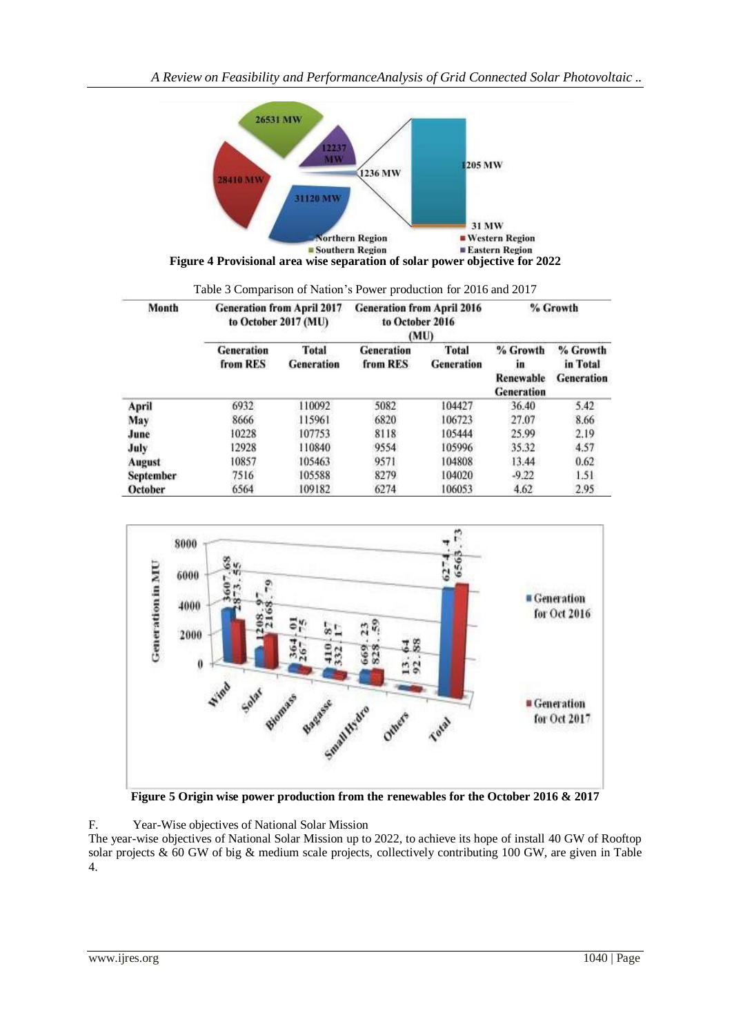

| Table 3 Comparison of Nation's Power production for 2016 and 2017 |  |  |  |
|-------------------------------------------------------------------|--|--|--|

| Month     | <b>Generation from April 2017</b><br>to October 2017 (MU) |                                   | <b>Generation from April 2016</b><br>to October 2016<br>(MU) |                                   | % Growth                                         |                                           |
|-----------|-----------------------------------------------------------|-----------------------------------|--------------------------------------------------------------|-----------------------------------|--------------------------------------------------|-------------------------------------------|
|           | <b>Generation</b><br>from RES                             | <b>Total</b><br><b>Generation</b> | <b>Generation</b><br>from RES                                | <b>Total</b><br><b>Generation</b> | % Growth<br>in<br>Renewable<br><b>Generation</b> | % Growth<br>in Total<br><b>Generation</b> |
| April     | 6932                                                      | 110092                            | 5082                                                         | 104427                            | 36.40                                            | 5.42                                      |
| May       | 8666                                                      | 115961                            | 6820                                                         | 106723                            | 27.07                                            | 8.66                                      |
| June      | 10228                                                     | 107753                            | 8118                                                         | 105444                            | 25.99                                            | 2.19                                      |
| July      | 12928                                                     | 110840                            | 9554                                                         | 105996                            | 35.32                                            | 4.57                                      |
| August    | 10857                                                     | 105463                            | 9571                                                         | 104808                            | 13.44                                            | 0.62                                      |
| September | 7516                                                      | 105588                            | 8279                                                         | 104020                            | $-9.22$                                          | 1.51                                      |
| October   | 6564                                                      | 109182                            | 6274                                                         | 106053                            | 4.62                                             | 2.95                                      |



**Figure 5 Origin wise power production from the renewables for the October 2016 & 2017**

F. Year-Wise objectives of National Solar Mission

The year-wise objectives of National Solar Mission up to 2022, to achieve its hope of install 40 GW of Rooftop solar projects & 60 GW of big & medium scale projects, collectively contributing 100 GW, are given in Table 4.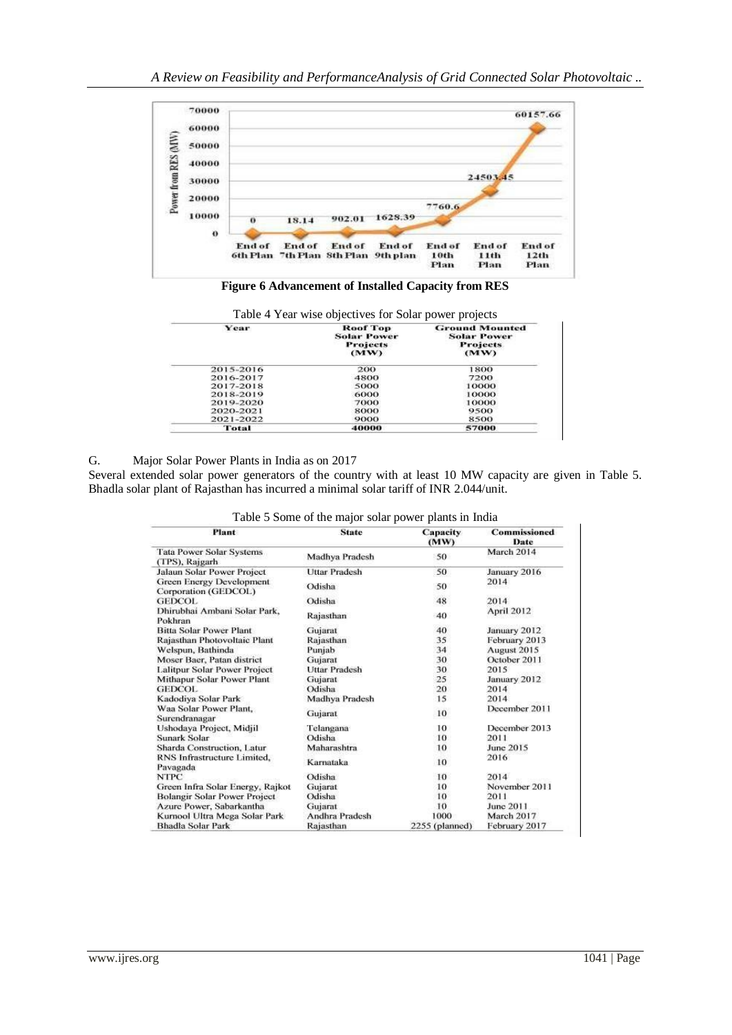

**Figure 6 Advancement of Installed Capacity from RES**

| Year      | Roof Top<br><b>Solar Power</b><br><b>Projects</b><br>(MW) | <b>Ground Mounted</b><br><b>Solar Power</b><br><b>Projects</b><br>(MW) |
|-----------|-----------------------------------------------------------|------------------------------------------------------------------------|
| 2015-2016 | 200                                                       | 1800                                                                   |
| 2016-2017 | 4800                                                      | 7200                                                                   |
| 2017-2018 | 5000                                                      | 10000                                                                  |
| 2018-2019 | 6000                                                      | 10000                                                                  |
| 2019-2020 | 7000                                                      | 10000                                                                  |
| 2020-2021 | 8000                                                      | 9500                                                                   |
| 2021-2022 | 9000                                                      | 8500                                                                   |
| Total     | 40000                                                     | 57000                                                                  |

G. Major Solar Power Plants in India as on 2017

Several extended solar power generators of the country with at least 10 MW capacity are given in Table 5. Bhadla solar plant of Rajasthan has incurred a minimal solar tariff of INR 2.044/unit.

| Plant                                            | <b>State</b>         | Capacity<br>(MW) | <b>Commissioned</b><br>Date<br>March 2014 |  |
|--------------------------------------------------|----------------------|------------------|-------------------------------------------|--|
| Tata Power Solar Systems<br>(TPS), Rajgarh       | Madhya Pradesh       | 50               |                                           |  |
| Jalaun Solar Power Project                       | <b>Uttar Pradesh</b> | 50               | January 2016                              |  |
| Green Energy Development<br>Corporation (GEDCOL) | Odisha               | 50               | 2014                                      |  |
| <b>GEDCOL</b>                                    | Odisha               | 48               | 2014                                      |  |
| Dhirubhai Ambani Solar Park,<br>Pokhran          | Rajasthan            | 40               | April 2012                                |  |
| <b>Bitta Solar Power Plant</b>                   | Gujarat              | 40               | January 2012                              |  |
| Rajasthan Photovoltaic Plant                     | Rajasthan            | 35               | February 2013                             |  |
| Welspun, Bathinda                                | Punjab               | 34               | August 2015                               |  |
| Moser Baer, Patan district                       | Gujarat              | 30               | October 2011                              |  |
| Lalitpur Solar Power Project                     | <b>Uttar Pradesh</b> | 30               | 2015                                      |  |
| Mithapur Solar Power Plant                       | Gujarat              | 25               | January 2012                              |  |
| <b>GEDCOL</b>                                    | Odisha               | 20               | 2014                                      |  |
| Kadodiya Solar Park                              | Madhya Pradesh       | 15               | 2014                                      |  |
| Waa Solar Power Plant,<br>Surendranagar          | Gujarat              | 10               | December 2011                             |  |
| Ushodaya Project, Midjil                         | Telangana            | 10               | December 2013                             |  |
| Sunark Solar                                     | Odisha               | 10               | 2011                                      |  |
| Sharda Construction, Latur                       | Maharashtra          | 10               | June 2015                                 |  |
| RNS Infrastructure Limited,<br>Pavagada          | Karnataka            | 10               | 2016                                      |  |
| <b>NTPC</b>                                      | Odisha               | 10               | 2014                                      |  |
| Green Infra Solar Energy, Rajkot                 | Gujarat              | 10               | November 2011                             |  |
| Bolangir Solar Power Project                     | Odisha               | 10               | 2011                                      |  |
| Azure Power, Sabarkantha                         | Gujarat              | 10               | June 2011                                 |  |
| Kurnool Ultra Mega Solar Park                    | Andhra Pradesh       | 1000             | March 2017                                |  |
| <b>Bhadla Solar Park</b>                         | Rajasthan            | 2255 (planned)   | February 2017                             |  |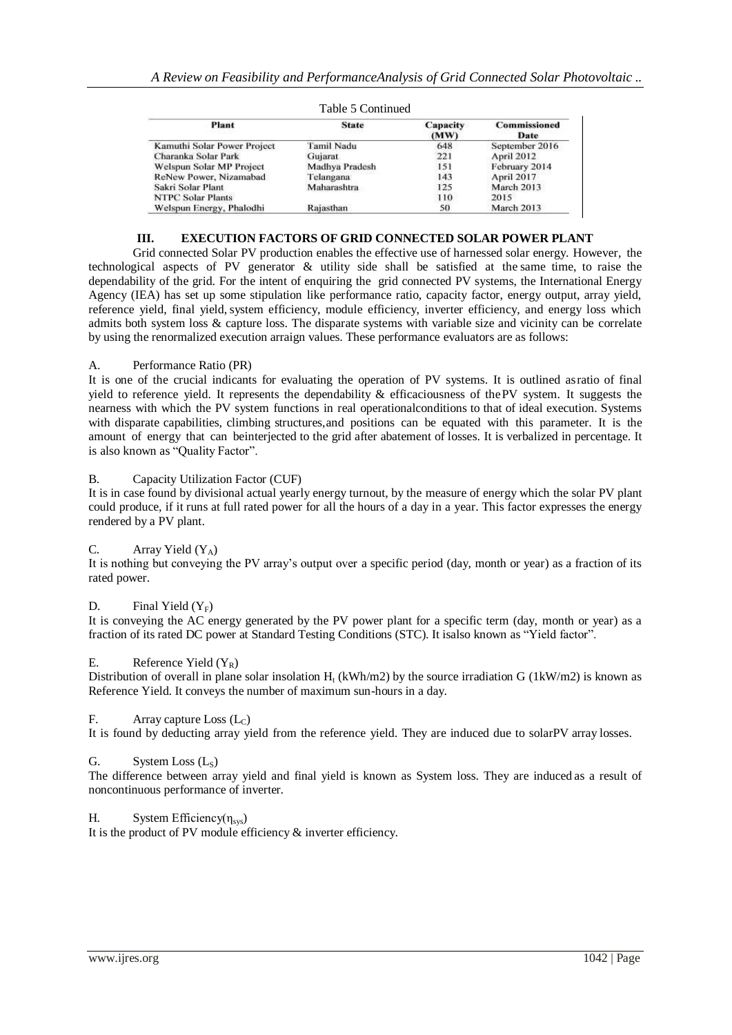| Plant                       | <b>State</b>      | Capacity<br>(MW) | Commissioned<br>Date. |  |
|-----------------------------|-------------------|------------------|-----------------------|--|
| Kamuthi Solar Power Project | <b>Tamil Nadu</b> | 648              | September 2016        |  |
| Charanka Solar Park         | Gujarat.          | 221              | <b>April 2012</b>     |  |
| Welspun Solar MP Project    | Madhya Pradesh    | 151              | February 2014         |  |
| ReNew Power, Nizamabad      | Telangana         | 143              | <b>April 2017</b>     |  |
| Sakri Solar Plant           | Maharashtra       | 125              | March 2013            |  |
| <b>NTPC Solar Plants</b>    |                   | 110              | 2015                  |  |
| Welspun Energy, Phalodhi    | Rajasthan         | 50               | March 2013            |  |

Table 5 Continued

## **III. EXECUTION FACTORS OF GRID CONNECTED SOLAR POWER PLANT**

Grid connected Solar PV production enables the effective use of harnessed solar energy. However, the technological aspects of PV generator & utility side shall be satisfied at the same time, to raise the dependability of the grid. For the intent of enquiring the grid connected PV systems, the International Energy Agency (IEA) has set up some stipulation like performance ratio, capacity factor, energy output, array yield, reference yield, final yield, system efficiency, module efficiency, inverter efficiency, and energy loss which admits both system loss & capture loss. The disparate systems with variable size and vicinity can be correlate by using the renormalized execution arraign values. These performance evaluators are as follows:

## A. Performance Ratio (PR)

It is one of the crucial indicants for evaluating the operation of PV systems. It is outlined asratio of final yield to reference yield. It represents the dependability  $\&$  efficaciousness of the PV system. It suggests the nearness with which the PV system functions in real operationalconditions to that of ideal execution. Systems with disparate capabilities, climbing structures,and positions can be equated with this parameter. It is the amount of energy that can beinterjected to the grid after abatement of losses. It is verbalized in percentage. It is also known as "Quality Factor".

### B. Capacity Utilization Factor (CUF)

It is in case found by divisional actual yearly energy turnout, by the measure of energy which the solar PV plant could produce, if it runs at full rated power for all the hours of a day in a year. This factor expresses the energy rendered by a PV plant.

## C. Array Yield  $(Y_A)$

It is nothing but conveying the PV array's output over a specific period (day, month or year) as a fraction of its rated power.

## D. Final Yield  $(Y_F)$

It is conveying the AC energy generated by the PV power plant for a specific term (day, month or year) as a fraction of its rated DC power at Standard Testing Conditions (STC). It isalso known as "Yield factor".

#### E. Reference Yield  $(Y_R)$

Distribution of overall in plane solar insolation  $H_t$  (kWh/m2) by the source irradiation G (1kW/m2) is known as Reference Yield. It conveys the number of maximum sun-hours in a day.

## F. Array capture Loss  $(L_C)$

It is found by deducting array yield from the reference yield. They are induced due to solarPV array losses.

#### G. System Loss  $(L_s)$

The difference between array yield and final yield is known as System loss. They are induced as a result of noncontinuous performance of inverter.

## H. System Efficiency( $\eta_{sys}$ )

It is the product of PV module efficiency & inverter efficiency.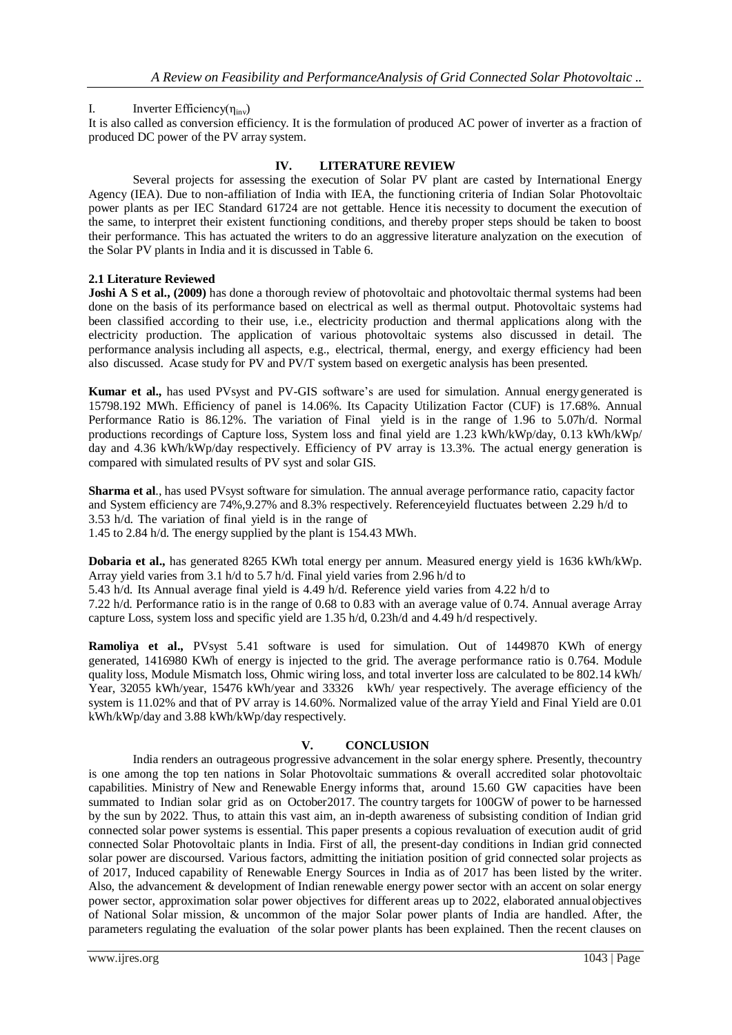## I. Inverter Efficiency( $\eta_{\text{inv}}$ )

It is also called as conversion efficiency. It is the formulation of produced AC power of inverter as a fraction of produced DC power of the PV array system.

#### **IV. LITERATURE REVIEW**

Several projects for assessing the execution of Solar PV plant are casted by International Energy Agency (IEA). Due to non-affiliation of India with IEA, the functioning criteria of Indian Solar Photovoltaic power plants as per IEC Standard 61724 are not gettable. Hence itis necessity to document the execution of the same, to interpret their existent functioning conditions, and thereby proper steps should be taken to boost their performance. This has actuated the writers to do an aggressive literature analyzation on the execution of the Solar PV plants in India and it is discussed in Table 6.

### **2.1 Literature Reviewed**

**Joshi A S et al., (2009)** has done a thorough review of photovoltaic and photovoltaic thermal systems had been done on the basis of its performance based on electrical as well as thermal output. Photovoltaic systems had been classified according to their use, i.e., electricity production and thermal applications along with the electricity production. The application of various photovoltaic systems also discussed in detail. The performance analysis including all aspects, e.g., electrical, thermal, energy, and exergy efficiency had been also discussed. Acase study for PV and PV/T system based on exergetic analysis has been presented.

**Kumar et al.,** has used PVsyst and PV-GIS software's are used for simulation. Annual energygenerated is 15798.192 MWh. Efficiency of panel is 14.06%. Its Capacity Utilization Factor (CUF) is 17.68%. Annual Performance Ratio is 86.12%. The variation of Final yield is in the range of 1.96 to 5.07h/d. Normal productions recordings of Capture loss, System loss and final yield are 1.23 kWh/kWp/day, 0.13 kWh/kWp/ day and 4.36 kWh/kWp/day respectively. Efficiency of PV array is 13.3%. The actual energy generation is compared with simulated results of PV syst and solar GIS.

**Sharma et al**., has used PVsyst software for simulation. The annual average performance ratio, capacity factor and System efficiency are 74%,9.27% and 8.3% respectively. Referenceyield fluctuates between 2.29 h/d to 3.53 h/d. The variation of final yield is in the range of 1.45 to 2.84 h/d. The energy supplied by the plant is 154.43 MWh.

**Dobaria et al.,** has generated 8265 KWh total energy per annum. Measured energy yield is 1636 kWh/kWp. Array yield varies from 3.1 h/d to 5.7 h/d. Final yield varies from 2.96 h/d to

5.43 h/d. Its Annual average final yield is 4.49 h/d. Reference yield varies from 4.22 h/d to

7.22 h/d. Performance ratio is in the range of 0.68 to 0.83 with an average value of 0.74. Annual average Array capture Loss, system loss and specific yield are 1.35 h/d, 0.23h/d and 4.49 h/d respectively.

**Ramoliya et al.,** PVsyst 5.41 software is used for simulation. Out of 1449870 KWh of energy generated, 1416980 KWh of energy is injected to the grid. The average performance ratio is 0.764. Module quality loss, Module Mismatch loss, Ohmic wiring loss, and total inverter loss are calculated to be 802.14 kWh/ Year, 32055 kWh/year, 15476 kWh/year and 33326 kWh/ year respectively. The average efficiency of the system is 11.02% and that of PV array is 14.60%. Normalized value of the array Yield and Final Yield are 0.01 kWh/kWp/day and 3.88 kWh/kWp/day respectively.

#### **V. CONCLUSION**

India renders an outrageous progressive advancement in the solar energy sphere. Presently, thecountry is one among the top ten nations in Solar Photovoltaic summations & overall accredited solar photovoltaic capabilities. Ministry of New and Renewable Energy informs that, around 15.60 GW capacities have been summated to Indian solar grid as on October2017. The country targets for 100GW of power to be harnessed by the sun by 2022. Thus, to attain this vast aim, an in-depth awareness of subsisting condition of Indian grid connected solar power systems is essential. This paper presents a copious revaluation of execution audit of grid connected Solar Photovoltaic plants in India. First of all, the present-day conditions in Indian grid connected solar power are discoursed. Various factors, admitting the initiation position of grid connected solar projects as of 2017, Induced capability of Renewable Energy Sources in India as of 2017 has been listed by the writer. Also, the advancement & development of Indian renewable energy power sector with an accent on solar energy power sector, approximation solar power objectives for different areas up to 2022, elaborated annualobjectives of National Solar mission, & uncommon of the major Solar power plants of India are handled. After, the parameters regulating the evaluation of the solar power plants has been explained. Then the recent clauses on